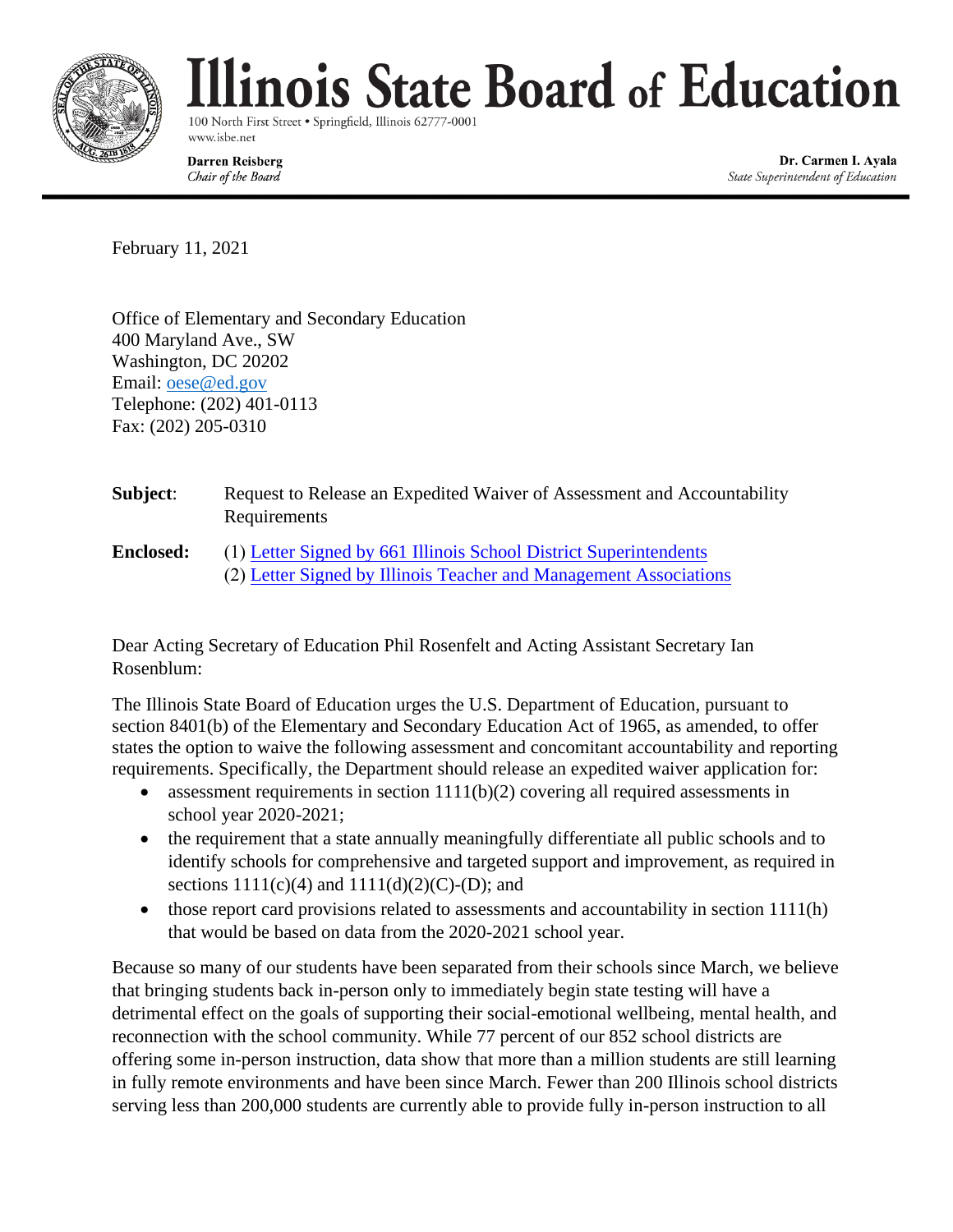

## linois State Board of Education

100 North First Street . Springfield, Illinois 62777-0001 www.isbe.net

**Darren Reisberg** Chair of the Board

Dr. Carmen I. Ayala State Superintendent of Education

February 11, 2021

Office of Elementary and Secondary Education 400 Maryland Ave., SW Washington, DC 20202 Email: [oese@ed.gov](mailto:oese@ed.gov) Telephone: (202) 401-0113 Fax: (202) 205-0310

| Subject:         | Request to Release an Expedited Waiver of Assessment and Accountability<br>Requirements                                                |
|------------------|----------------------------------------------------------------------------------------------------------------------------------------|
| <b>Enclosed:</b> | (1) Letter Signed by 661 Illinois School District Superintendents<br>(2) Letter Signed by Illinois Teacher and Management Associations |

Dear Acting Secretary of Education Phil Rosenfelt and Acting Assistant Secretary Ian Rosenblum:

The Illinois State Board of Education urges the U.S. Department of Education, pursuant to section 8401(b) of the Elementary and Secondary Education Act of 1965, as amended, to offer states the option to waive the following assessment and concomitant accountability and reporting requirements. Specifically, the Department should release an expedited waiver application for:

- assessment requirements in section  $1111(b)(2)$  covering all required assessments in school year 2020-2021;
- the requirement that a state annually meaningfully differentiate all public schools and to identify schools for comprehensive and targeted support and improvement, as required in sections  $1111(c)(4)$  and  $1111(d)(2)(C)-(D)$ ; and
- those report card provisions related to assessments and accountability in section 1111(h) that would be based on data from the 2020-2021 school year.

Because so many of our students have been separated from their schools since March, we believe that bringing students back in-person only to immediately begin state testing will have a detrimental effect on the goals of supporting their social-emotional wellbeing, mental health, and reconnection with the school community. While 77 percent of our 852 school districts are offering some in-person instruction, data show that more than a million students are still learning in fully remote environments and have been since March. Fewer than 200 Illinois school districts serving less than 200,000 students are currently able to provide fully in-person instruction to all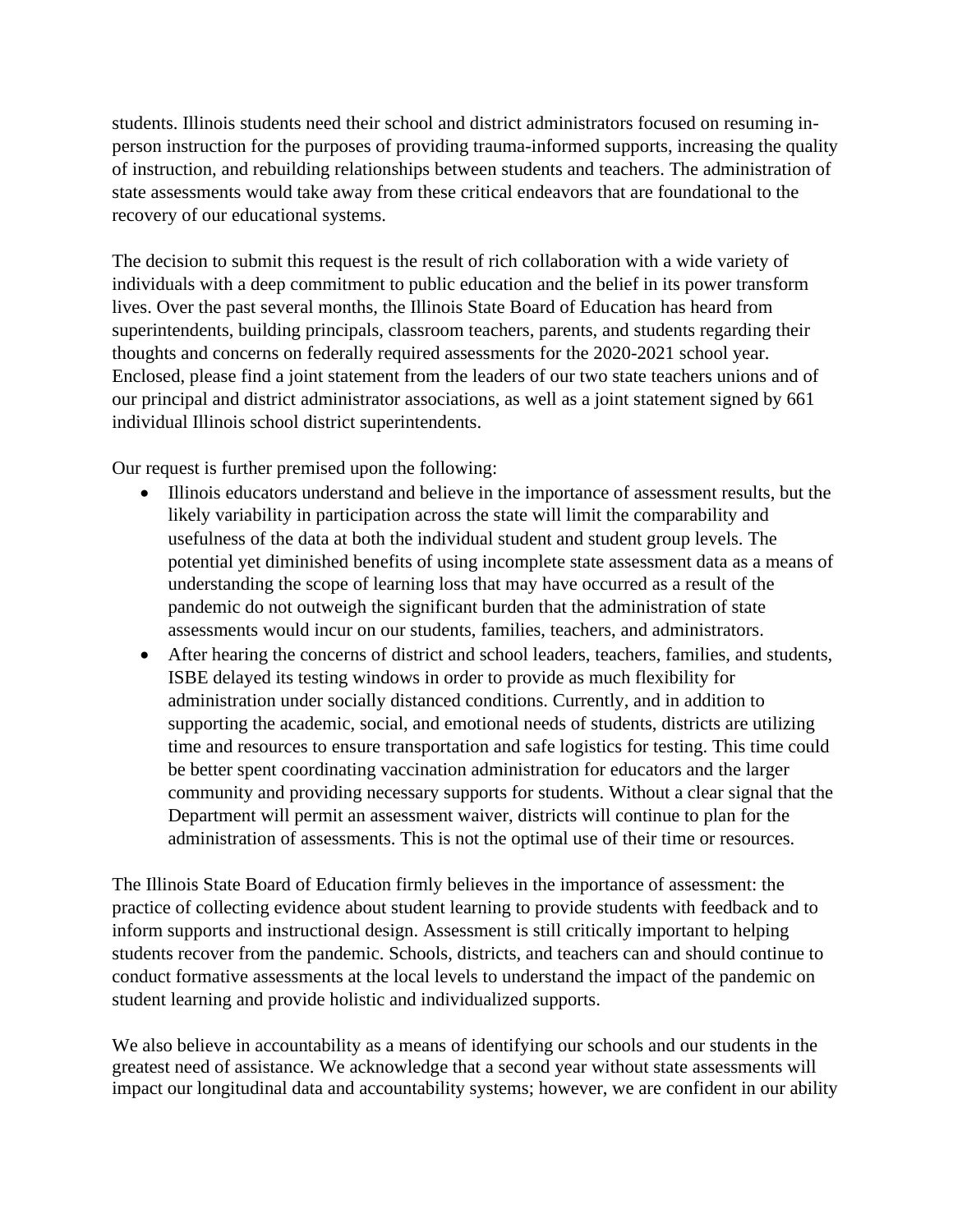students. Illinois students need their school and district administrators focused on resuming inperson instruction for the purposes of providing trauma-informed supports, increasing the quality of instruction, and rebuilding relationships between students and teachers. The administration of state assessments would take away from these critical endeavors that are foundational to the recovery of our educational systems.

The decision to submit this request is the result of rich collaboration with a wide variety of individuals with a deep commitment to public education and the belief in its power transform lives. Over the past several months, the Illinois State Board of Education has heard from superintendents, building principals, classroom teachers, parents, and students regarding their thoughts and concerns on federally required assessments for the 2020-2021 school year. Enclosed, please find a joint statement from the leaders of our two state teachers unions and of our principal and district administrator associations, as well as a joint statement signed by 661 individual Illinois school district superintendents.

Our request is further premised upon the following:

- Illinois educators understand and believe in the importance of assessment results, but the likely variability in participation across the state will limit the comparability and usefulness of the data at both the individual student and student group levels. The potential yet diminished benefits of using incomplete state assessment data as a means of understanding the scope of learning loss that may have occurred as a result of the pandemic do not outweigh the significant burden that the administration of state assessments would incur on our students, families, teachers, and administrators.
- After hearing the concerns of district and school leaders, teachers, families, and students, ISBE delayed its testing windows in order to provide as much flexibility for administration under socially distanced conditions. Currently, and in addition to supporting the academic, social, and emotional needs of students, districts are utilizing time and resources to ensure transportation and safe logistics for testing. This time could be better spent coordinating vaccination administration for educators and the larger community and providing necessary supports for students. Without a clear signal that the Department will permit an assessment waiver, districts will continue to plan for the administration of assessments. This is not the optimal use of their time or resources.

The Illinois State Board of Education firmly believes in the importance of assessment: the practice of collecting evidence about student learning to provide students with feedback and to inform supports and instructional design. Assessment is still critically important to helping students recover from the pandemic. Schools, districts, and teachers can and should continue to conduct formative assessments at the local levels to understand the impact of the pandemic on student learning and provide holistic and individualized supports.

We also believe in accountability as a means of identifying our schools and our students in the greatest need of assistance. We acknowledge that a second year without state assessments will impact our longitudinal data and accountability systems; however, we are confident in our ability